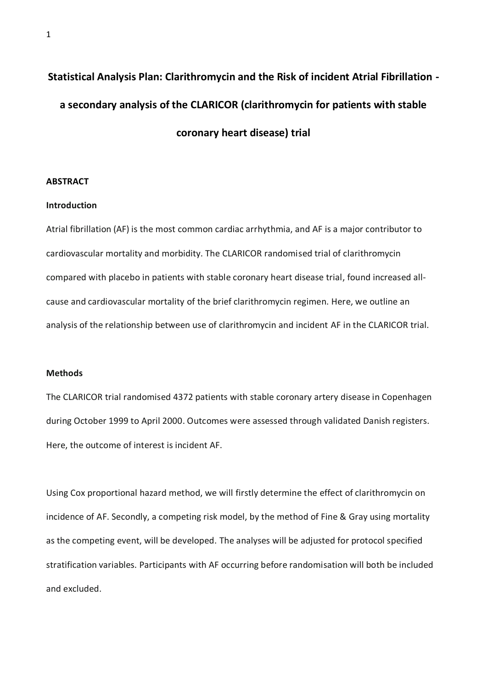# **Statistical Analysis Plan: Clarithromycin and the Risk of incident Atrial Fibrillation a secondary analysis of the CLARICOR (clarithromycin for patients with stable coronary heart disease) trial**

#### **ABSTRACT**

#### **Introduction**

Atrial fibrillation (AF) is the most common cardiac arrhythmia, and AF is a major contributor to cardiovascular mortality and morbidity. The CLARICOR randomised trial of clarithromycin compared with placebo in patients with stable coronary heart disease trial, found increased allcause and cardiovascular mortality of the brief clarithromycin regimen. Here, we outline an analysis of the relationship between use of clarithromycin and incident AF in the CLARICOR trial.

# **Methods**

The CLARICOR trial randomised 4372 patients with stable coronary artery disease in Copenhagen during October 1999 to April 2000. Outcomes were assessed through validated Danish registers. Here, the outcome of interest is incident AF.

Using Cox proportional hazard method, we will firstly determine the effect of clarithromycin on incidence of AF. Secondly, a competing risk model, by the method of Fine & Gray using mortality as the competing event, will be developed. The analyses will be adjusted for protocol specified stratification variables. Participants with AF occurring before randomisation will both be included and excluded.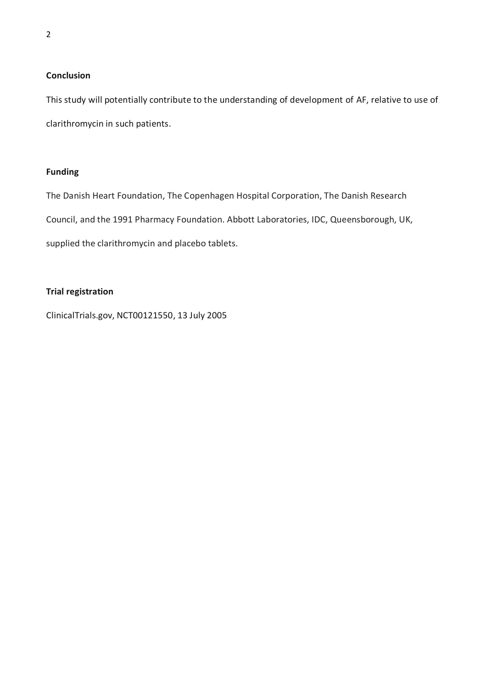# **Conclusion**

This study will potentially contribute to the understanding of development of AF, relative to use of clarithromycin in such patients.

# **Funding**

The Danish Heart Foundation, The Copenhagen Hospital Corporation, The Danish Research Council, and the 1991 Pharmacy Foundation. Abbott Laboratories, IDC, Queensborough, UK, supplied the clarithromycin and placebo tablets.

# **Trial registration**

ClinicalTrials.gov, NCT00121550, 13 July 2005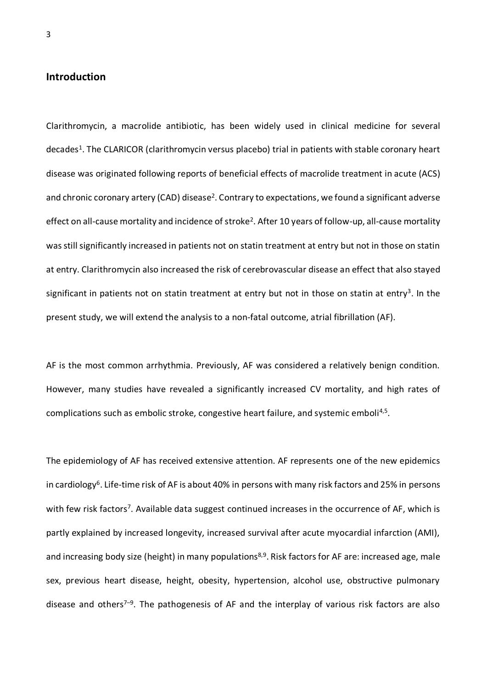# **Introduction**

Clarithromycin, a macrolide antibiotic, has been widely used in clinical medicine for several decades<sup>1</sup>. The CLARICOR (clarithromycin versus placebo) trial in patients with stable coronary heart disease was originated following reports of beneficial effects of macrolide treatment in acute (ACS) and chronic coronary artery (CAD) disease<sup>2</sup>. Contrary to expectations, we found a significant adverse effect on all-cause mortality and incidence of stroke<sup>2</sup>. After 10 years of follow-up, all-cause mortality was still significantly increased in patients not on statin treatment at entry but not in those on statin at entry. Clarithromycin also increased the risk of cerebrovascular disease an effect that also stayed significant in patients not on statin treatment at entry but not in those on statin at entry<sup>3</sup>. In the present study, we will extend the analysis to a non-fatal outcome, atrial fibrillation (AF).

AF is the most common arrhythmia. Previously, AF was considered a relatively benign condition. However, many studies have revealed a significantly increased CV mortality, and high rates of complications such as embolic stroke, congestive heart failure, and systemic emboli<sup>4,5</sup>.

The epidemiology of AF has received extensive attention. AF represents one of the new epidemics in cardiology<sup>6</sup>. Life-time risk of AF is about 40% in persons with many risk factors and 25% in persons with few risk factors<sup>7</sup>. Available data suggest continued increases in the occurrence of AF, which is partly explained by increased longevity, increased survival after acute myocardial infarction (AMI), and increasing body size (height) in many populations<sup>8,9</sup>. Risk factors for AF are: increased age, male sex, previous heart disease, height, obesity, hypertension, alcohol use, obstructive pulmonary disease and others<sup>7–9</sup>. The pathogenesis of AF and the interplay of various risk factors are also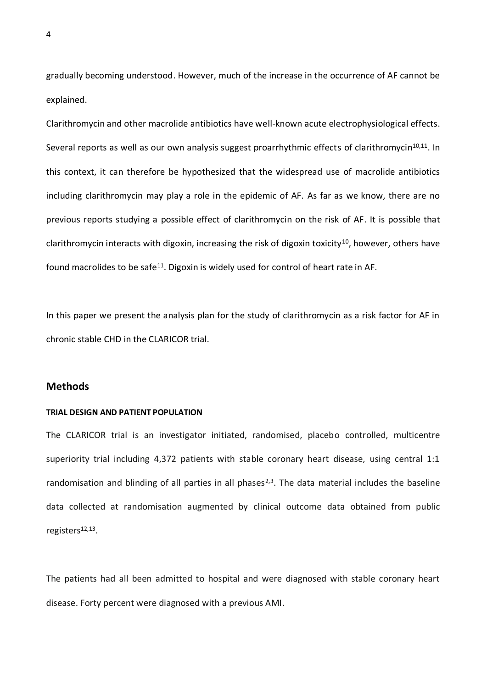gradually becoming understood. However, much of the increase in the occurrence of AF cannot be explained.

Clarithromycin and other macrolide antibiotics have well-known acute electrophysiological effects. Several reports as well as our own analysis suggest proarrhythmic effects of clarithromycin<sup>10,11</sup>. In this context, it can therefore be hypothesized that the widespread use of macrolide antibiotics including clarithromycin may play a role in the epidemic of AF. As far as we know, there are no previous reports studying a possible effect of clarithromycin on the risk of AF. It is possible that clarithromycin interacts with digoxin, increasing the risk of digoxin toxicity<sup>10</sup>, however, others have found macrolides to be safe<sup>11</sup>. Digoxin is widely used for control of heart rate in AF.

In this paper we present the analysis plan for the study of clarithromycin as a risk factor for AF in chronic stable CHD in the CLARICOR trial.

# **Methods**

#### **TRIAL DESIGN AND PATIENT POPULATION**

The CLARICOR trial is an investigator initiated, randomised, placebo controlled, multicentre superiority trial including 4,372 patients with stable coronary heart disease, using central 1:1 randomisation and blinding of all parties in all phases<sup>2,3</sup>. The data material includes the baseline data collected at randomisation augmented by clinical outcome data obtained from public registers<sup>12,13</sup>.

The patients had all been admitted to hospital and were diagnosed with stable coronary heart disease. Forty percent were diagnosed with a previous AMI.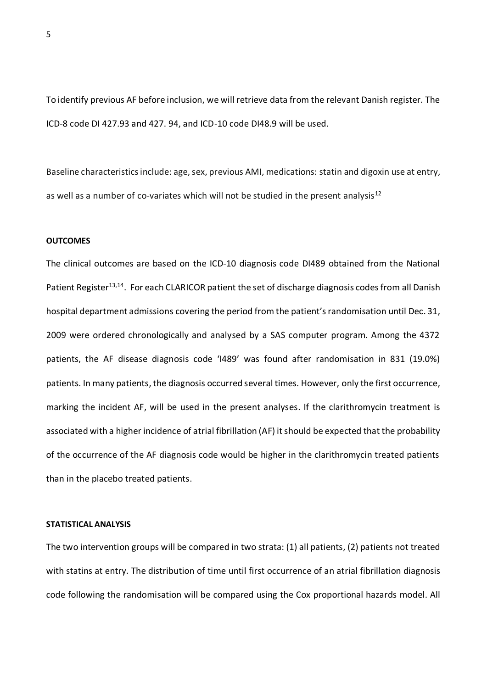To identify previous AF before inclusion, we will retrieve data from the relevant Danish register. The ICD-8 code DI 427.93 and 427. 94, and ICD-10 code DI48.9 will be used.

Baseline characteristics include: age, sex, previous AMI, medications: statin and digoxin use at entry, as well as a number of co-variates which will not be studied in the present analysis<sup>12</sup>

#### **OUTCOMES**

The clinical outcomes are based on the ICD-10 diagnosis code DI489 obtained from the National Patient Register<sup>13,14</sup>. For each CLARICOR patient the set of discharge diagnosis codes from all Danish hospital department admissions covering the period from the patient's randomisation until Dec. 31, 2009 were ordered chronologically and analysed by a SAS computer program. Among the 4372 patients, the AF disease diagnosis code 'I489' was found after randomisation in 831 (19.0%) patients. In many patients, the diagnosis occurred several times. However, only the first occurrence, marking the incident AF, will be used in the present analyses. If the clarithromycin treatment is associated with a higher incidence of atrial fibrillation (AF) it should be expected that the probability of the occurrence of the AF diagnosis code would be higher in the clarithromycin treated patients than in the placebo treated patients.

## **STATISTICAL ANALYSIS**

The two intervention groups will be compared in two strata: (1) all patients, (2) patients not treated with statins at entry. The distribution of time until first occurrence of an atrial fibrillation diagnosis code following the randomisation will be compared using the Cox proportional hazards model. All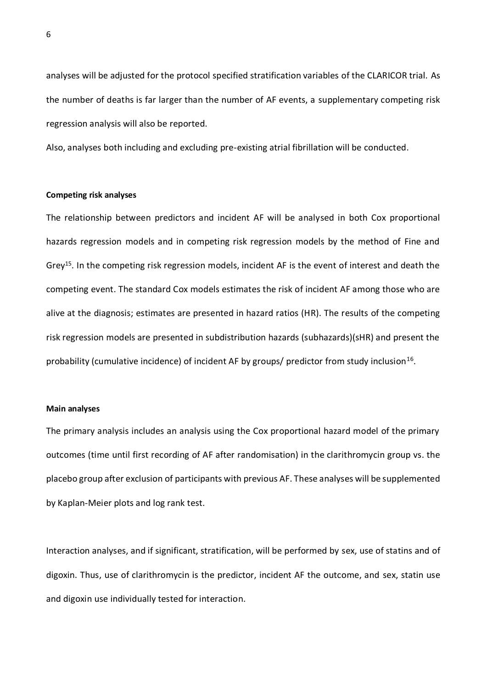analyses will be adjusted for the protocol specified stratification variables of the CLARICOR trial. As the number of deaths is far larger than the number of AF events, a supplementary competing risk regression analysis will also be reported.

Also, analyses both including and excluding pre-existing atrial fibrillation will be conducted.

#### **Competing risk analyses**

The relationship between predictors and incident AF will be analysed in both Cox proportional hazards regression models and in competing risk regression models by the method of Fine and Grey<sup>15</sup>. In the competing risk regression models, incident AF is the event of interest and death the competing event. The standard Cox models estimates the risk of incident AF among those who are alive at the diagnosis; estimates are presented in hazard ratios (HR). The results of the competing risk regression models are presented in subdistribution hazards (subhazards)(sHR) and present the probability (cumulative incidence) of incident AF by groups/ predictor from study inclusion<sup>16</sup>.

### **Main analyses**

The primary analysis includes an analysis using the Cox proportional hazard model of the primary outcomes (time until first recording of AF after randomisation) in the clarithromycin group vs. the placebo group after exclusion of participants with previous AF. These analyses will be supplemented by Kaplan-Meier plots and log rank test.

Interaction analyses, and if significant, stratification, will be performed by sex, use of statins and of digoxin. Thus, use of clarithromycin is the predictor, incident AF the outcome, and sex, statin use and digoxin use individually tested for interaction.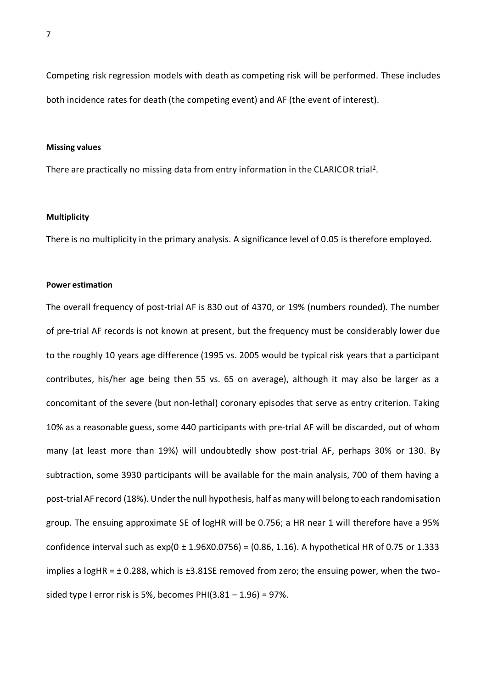Competing risk regression models with death as competing risk will be performed. These includes both incidence rates for death (the competing event) and AF (the event of interest).

### **Missing values**

There are practically no missing data from entry information in the CLARICOR trial<sup>2</sup>.

#### **Multiplicity**

There is no multiplicity in the primary analysis. A significance level of 0.05 is therefore employed.

## **Power estimation**

The overall frequency of post-trial AF is 830 out of 4370, or 19% (numbers rounded). The number of pre-trial AF records is not known at present, but the frequency must be considerably lower due to the roughly 10 years age difference (1995 vs. 2005 would be typical risk years that a participant contributes, his/her age being then 55 vs. 65 on average), although it may also be larger as a concomitant of the severe (but non-lethal) coronary episodes that serve as entry criterion. Taking 10% as a reasonable guess, some 440 participants with pre-trial AF will be discarded, out of whom many (at least more than 19%) will undoubtedly show post-trial AF, perhaps 30% or 130. By subtraction, some 3930 participants will be available for the main analysis, 700 of them having a post-trial AF record (18%). Under the null hypothesis, half as many will belong to each randomisation group. The ensuing approximate SE of logHR will be 0.756; a HR near 1 will therefore have a 95% confidence interval such as  $exp(0 \pm 1.96X0.0756) = (0.86, 1.16)$ . A hypothetical HR of 0.75 or 1.333 implies a logHR = ± 0.288, which is ±3.81SE removed from zero; the ensuing power, when the twosided type I error risk is 5%, becomes PHI(3.81 - 1.96) = 97%.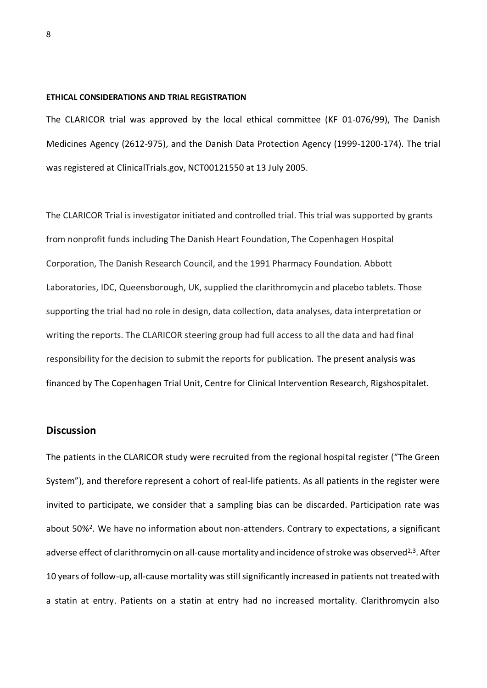#### **ETHICAL CONSIDERATIONS AND TRIAL REGISTRATION**

The CLARICOR trial was approved by the local ethical committee (KF 01-076/99), The Danish Medicines Agency (2612-975), and the Danish Data Protection Agency (1999-1200-174). The trial was registered at ClinicalTrials.gov, NCT00121550 at 13 July 2005.

The CLARICOR Trial is investigator initiated and controlled trial. This trial was supported by grants from nonprofit funds including The Danish Heart Foundation, The Copenhagen Hospital Corporation, The Danish Research Council, and the 1991 Pharmacy Foundation. Abbott Laboratories, IDC, Queensborough, UK, supplied the clarithromycin and placebo tablets. Those supporting the trial had no role in design, data collection, data analyses, data interpretation or writing the reports. The CLARICOR steering group had full access to all the data and had final responsibility for the decision to submit the reports for publication. The present analysis was financed by The Copenhagen Trial Unit, Centre for Clinical Intervention Research, Rigshospitalet.

## **Discussion**

The patients in the CLARICOR study were recruited from the regional hospital register ("The Green System"), and therefore represent a cohort of real-life patients. As all patients in the register were invited to participate, we consider that a sampling bias can be discarded. Participation rate was about 50%<sup>2</sup>. We have no information about non-attenders. Contrary to expectations, a significant adverse effect of clarithromycin on all-cause mortality and incidence of stroke was observed<sup>2,3</sup>. After 10 years of follow-up, all-cause mortality was still significantly increased in patients not treated with a statin at entry. Patients on a statin at entry had no increased mortality. Clarithromycin also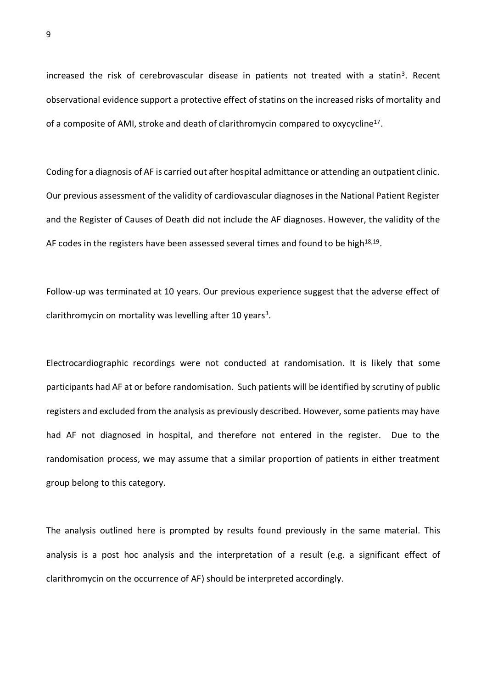increased the risk of cerebrovascular disease in patients not treated with a statin<sup>3</sup>. Recent observational evidence support a protective effect of statins on the increased risks of mortality and of a composite of AMI, stroke and death of clarithromycin compared to oxycycline<sup>17</sup>.

Coding for a diagnosis of AF is carried out after hospital admittance or attending an outpatient clinic. Our previous assessment of the validity of cardiovascular diagnoses in the National Patient Register and the Register of Causes of Death did not include the AF diagnoses. However, the validity of the AF codes in the registers have been assessed several times and found to be high $^{18,19}$ .

Follow-up was terminated at 10 years. Our previous experience suggest that the adverse effect of clarithromycin on mortality was levelling after 10 years<sup>3</sup>.

Electrocardiographic recordings were not conducted at randomisation. It is likely that some participants had AF at or before randomisation. Such patients will be identified by scrutiny of public registers and excluded from the analysis as previously described. However, some patients may have had AF not diagnosed in hospital, and therefore not entered in the register. Due to the randomisation process, we may assume that a similar proportion of patients in either treatment group belong to this category.

The analysis outlined here is prompted by results found previously in the same material. This analysis is a post hoc analysis and the interpretation of a result (e.g. a significant effect of clarithromycin on the occurrence of AF) should be interpreted accordingly.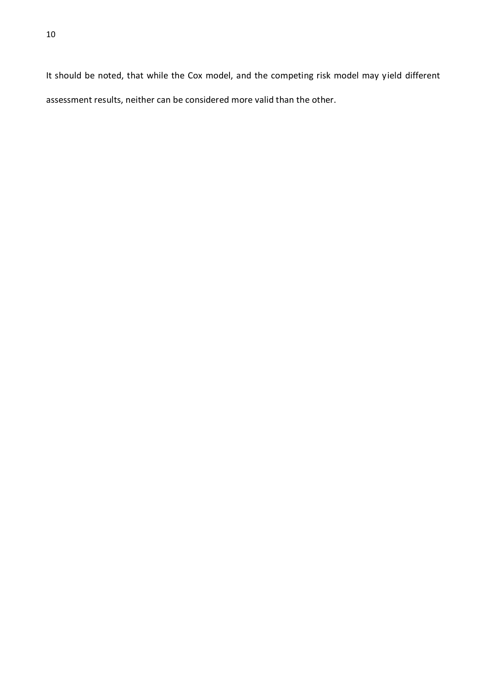It should be noted, that while the Cox model, and the competing risk model may yield different assessment results, neither can be considered more valid than the other.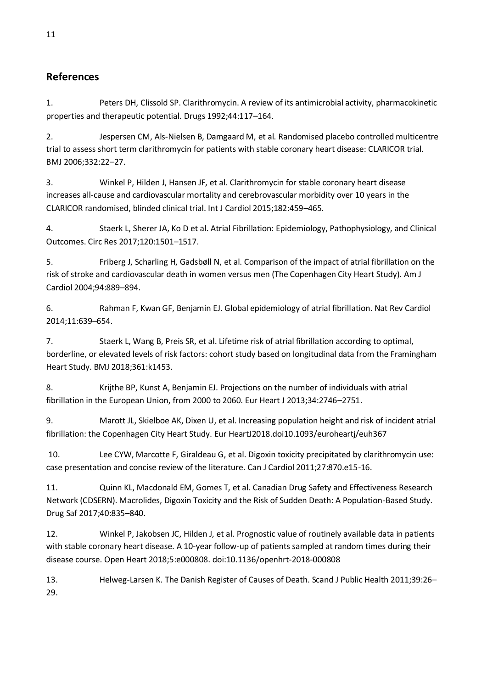# **References**

1. Peters DH, Clissold SP. Clarithromycin. A review of its antimicrobial activity, pharmacokinetic properties and therapeutic potential. Drugs 1992;44:117–164.

2. Jespersen CM, Als-Nielsen B, Damgaard M, et al. Randomised placebo controlled multicentre trial to assess short term clarithromycin for patients with stable coronary heart disease: CLARICOR trial. BMJ 2006;332:22–27.

3. Winkel P, Hilden J, Hansen JF, et al. Clarithromycin for stable coronary heart disease increases all-cause and cardiovascular mortality and cerebrovascular morbidity over 10 years in the CLARICOR randomised, blinded clinical trial. Int J Cardiol 2015;182:459–465.

4. Staerk L, Sherer JA, Ko D et al. Atrial Fibrillation: Epidemiology, Pathophysiology, and Clinical Outcomes. Circ Res 2017;120:1501–1517.

5. Friberg J, Scharling H, Gadsbøll N, et al. Comparison of the impact of atrial fibrillation on the risk of stroke and cardiovascular death in women versus men (The Copenhagen City Heart Study). Am J Cardiol 2004;94:889–894.

6. Rahman F, Kwan GF, Benjamin EJ. Global epidemiology of atrial fibrillation. Nat Rev Cardiol 2014;11:639–654.

7. Staerk L, Wang B, Preis SR, et al. Lifetime risk of atrial fibrillation according to optimal, borderline, or elevated levels of risk factors: cohort study based on longitudinal data from the Framingham Heart Study. BMJ 2018;361:k1453.

8. Krijthe BP, Kunst A, Benjamin EJ. Projections on the number of individuals with atrial fibrillation in the European Union, from 2000 to 2060. Eur Heart J 2013;34:2746–2751.

9. Marott JL, Skielboe AK, Dixen U, et al. Increasing population height and risk of incident atrial fibrillation: the Copenhagen City Heart Study. Eur HeartJ2018.doi10.1093/euroheartj/euh367

10. Lee CYW, Marcotte F, Giraldeau G, et al. Digoxin toxicity precipitated by clarithromycin use: case presentation and concise review of the literature. Can J Cardiol 2011;27:870.e15-16.

11. Quinn KL, Macdonald EM, Gomes T, et al. Canadian Drug Safety and Effectiveness Research Network (CDSERN). Macrolides, Digoxin Toxicity and the Risk of Sudden Death: A Population-Based Study. Drug Saf 2017;40:835–840.

12. Winkel P, Jakobsen JC, Hilden J, et al. Prognostic value of routinely available data in patients with stable coronary heart disease. A 10-year follow-up of patients sampled at random times during their disease course. Open Heart 2018;5:e000808. doi:10.1136/openhrt-2018-000808

13. Helweg-Larsen K. The Danish Register of Causes of Death. Scand J Public Health 2011;39:26– 29.